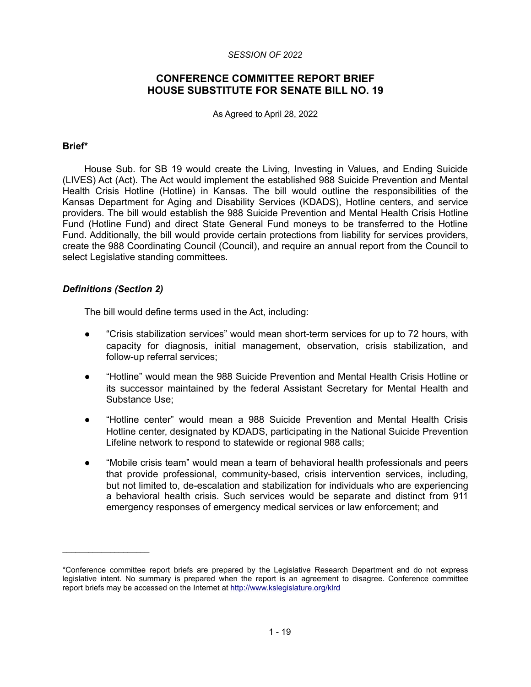#### *SESSION OF 2022*

# **CONFERENCE COMMITTEE REPORT BRIEF HOUSE SUBSTITUTE FOR SENATE BILL NO. 19**

As Agreed to April 28, 2022

#### **Brief\***

House Sub. for SB 19 would create the Living, Investing in Values, and Ending Suicide (LIVES) Act (Act). The Act would implement the established 988 Suicide Prevention and Mental Health Crisis Hotline (Hotline) in Kansas. The bill would outline the responsibilities of the Kansas Department for Aging and Disability Services (KDADS), Hotline centers, and service providers. The bill would establish the 988 Suicide Prevention and Mental Health Crisis Hotline Fund (Hotline Fund) and direct State General Fund moneys to be transferred to the Hotline Fund. Additionally, the bill would provide certain protections from liability for services providers, create the 988 Coordinating Council (Council), and require an annual report from the Council to select Legislative standing committees.

### *Definitions (Section 2)*

 $\mathcal{L}=\{1,2,3,4,5\}$ 

The bill would define terms used in the Act, including:

- "Crisis stabilization services" would mean short-term services for up to 72 hours, with capacity for diagnosis, initial management, observation, crisis stabilization, and follow-up referral services;
- "Hotline" would mean the 988 Suicide Prevention and Mental Health Crisis Hotline or its successor maintained by the federal Assistant Secretary for Mental Health and Substance Use;
- "Hotline center" would mean a 988 Suicide Prevention and Mental Health Crisis Hotline center, designated by KDADS, participating in the National Suicide Prevention Lifeline network to respond to statewide or regional 988 calls;
- "Mobile crisis team" would mean a team of behavioral health professionals and peers that provide professional, community-based, crisis intervention services, including, but not limited to, de-escalation and stabilization for individuals who are experiencing a behavioral health crisis. Such services would be separate and distinct from 911 emergency responses of emergency medical services or law enforcement; and

<sup>\*</sup>Conference committee report briefs are prepared by the Legislative Research Department and do not express legislative intent. No summary is prepared when the report is an agreement to disagree. Conference committee report briefs may be accessed on the Internet at<http://www.kslegislature.org/klrd>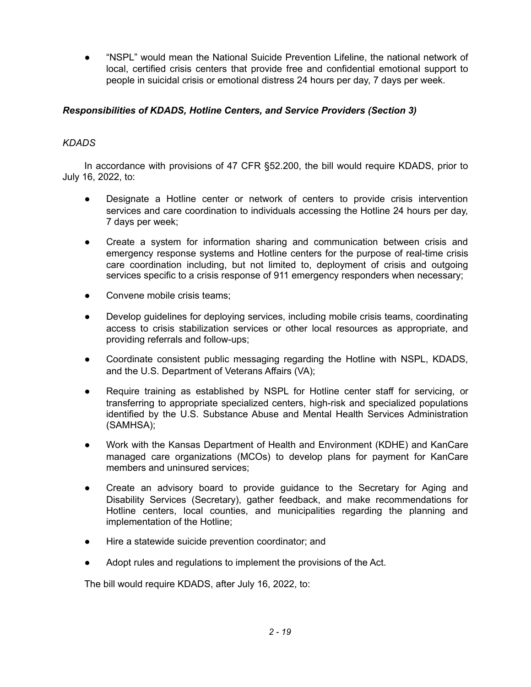"NSPL" would mean the National Suicide Prevention Lifeline, the national network of local, certified crisis centers that provide free and confidential emotional support to people in suicidal crisis or emotional distress 24 hours per day, 7 days per week.

# *Responsibilities of KDADS, Hotline Centers, and Service Providers (Section 3)*

# *KDADS*

In accordance with provisions of 47 CFR §52.200, the bill would require KDADS, prior to July 16, 2022, to:

- Designate a Hotline center or network of centers to provide crisis intervention services and care coordination to individuals accessing the Hotline 24 hours per day, 7 days per week;
- Create a system for information sharing and communication between crisis and emergency response systems and Hotline centers for the purpose of real-time crisis care coordination including, but not limited to, deployment of crisis and outgoing services specific to a crisis response of 911 emergency responders when necessary;
- Convene mobile crisis teams:
- Develop guidelines for deploying services, including mobile crisis teams, coordinating access to crisis stabilization services or other local resources as appropriate, and providing referrals and follow-ups;
- Coordinate consistent public messaging regarding the Hotline with NSPL, KDADS, and the U.S. Department of Veterans Affairs (VA);
- Require training as established by NSPL for Hotline center staff for servicing, or transferring to appropriate specialized centers, high-risk and specialized populations identified by the U.S. Substance Abuse and Mental Health Services Administration (SAMHSA);
- Work with the Kansas Department of Health and Environment (KDHE) and KanCare managed care organizations (MCOs) to develop plans for payment for KanCare members and uninsured services;
- Create an advisory board to provide guidance to the Secretary for Aging and Disability Services (Secretary), gather feedback, and make recommendations for Hotline centers, local counties, and municipalities regarding the planning and implementation of the Hotline;
- Hire a statewide suicide prevention coordinator; and
- Adopt rules and regulations to implement the provisions of the Act.

The bill would require KDADS, after July 16, 2022, to: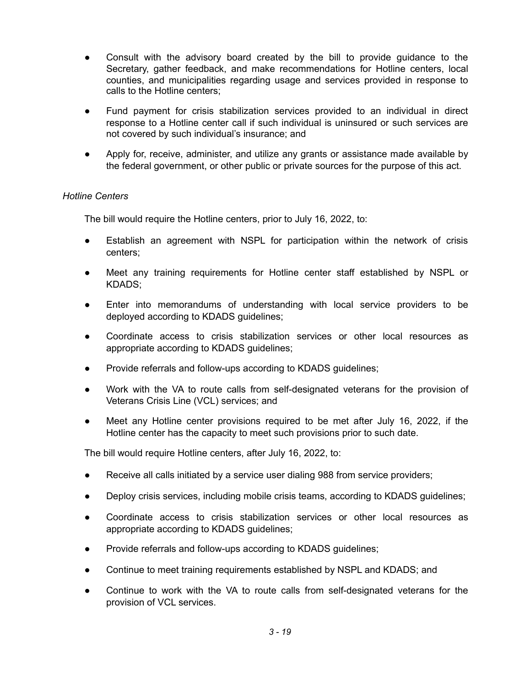- Consult with the advisory board created by the bill to provide guidance to the Secretary, gather feedback, and make recommendations for Hotline centers, local counties, and municipalities regarding usage and services provided in response to calls to the Hotline centers;
- Fund payment for crisis stabilization services provided to an individual in direct response to a Hotline center call if such individual is uninsured or such services are not covered by such individual's insurance; and
- Apply for, receive, administer, and utilize any grants or assistance made available by the federal government, or other public or private sources for the purpose of this act.

# *Hotline Centers*

The bill would require the Hotline centers, prior to July 16, 2022, to:

- Establish an agreement with NSPL for participation within the network of crisis centers;
- Meet any training requirements for Hotline center staff established by NSPL or KDADS;
- Enter into memorandums of understanding with local service providers to be deployed according to KDADS guidelines;
- Coordinate access to crisis stabilization services or other local resources as appropriate according to KDADS guidelines;
- Provide referrals and follow-ups according to KDADS guidelines;
- Work with the VA to route calls from self-designated veterans for the provision of Veterans Crisis Line (VCL) services; and
- Meet any Hotline center provisions required to be met after July 16, 2022, if the Hotline center has the capacity to meet such provisions prior to such date.

The bill would require Hotline centers, after July 16, 2022, to:

- Receive all calls initiated by a service user dialing 988 from service providers;
- Deploy crisis services, including mobile crisis teams, according to KDADS guidelines;
- Coordinate access to crisis stabilization services or other local resources as appropriate according to KDADS guidelines;
- Provide referrals and follow-ups according to KDADS guidelines;
- Continue to meet training requirements established by NSPL and KDADS; and
- Continue to work with the VA to route calls from self-designated veterans for the provision of VCL services.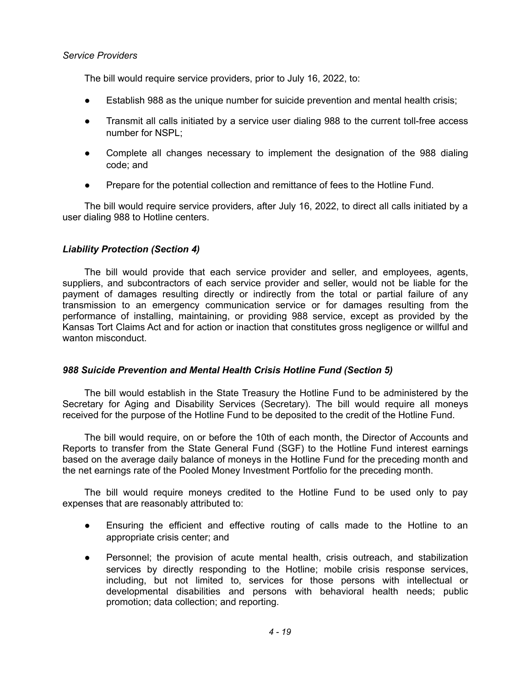### *Service Providers*

The bill would require service providers, prior to July 16, 2022, to:

- Establish 988 as the unique number for suicide prevention and mental health crisis;
- Transmit all calls initiated by a service user dialing 988 to the current toll-free access number for NSPL;
- Complete all changes necessary to implement the designation of the 988 dialing code; and
- Prepare for the potential collection and remittance of fees to the Hotline Fund.

The bill would require service providers, after July 16, 2022, to direct all calls initiated by a user dialing 988 to Hotline centers.

# *Liability Protection (Section 4)*

The bill would provide that each service provider and seller, and employees, agents, suppliers, and subcontractors of each service provider and seller, would not be liable for the payment of damages resulting directly or indirectly from the total or partial failure of any transmission to an emergency communication service or for damages resulting from the performance of installing, maintaining, or providing 988 service, except as provided by the Kansas Tort Claims Act and for action or inaction that constitutes gross negligence or willful and wanton misconduct.

# *988 Suicide Prevention and Mental Health Crisis Hotline Fund (Section 5)*

The bill would establish in the State Treasury the Hotline Fund to be administered by the Secretary for Aging and Disability Services (Secretary). The bill would require all moneys received for the purpose of the Hotline Fund to be deposited to the credit of the Hotline Fund.

The bill would require, on or before the 10th of each month, the Director of Accounts and Reports to transfer from the State General Fund (SGF) to the Hotline Fund interest earnings based on the average daily balance of moneys in the Hotline Fund for the preceding month and the net earnings rate of the Pooled Money Investment Portfolio for the preceding month.

The bill would require moneys credited to the Hotline Fund to be used only to pay expenses that are reasonably attributed to:

- Ensuring the efficient and effective routing of calls made to the Hotline to an appropriate crisis center; and
- Personnel; the provision of acute mental health, crisis outreach, and stabilization services by directly responding to the Hotline; mobile crisis response services, including, but not limited to, services for those persons with intellectual or developmental disabilities and persons with behavioral health needs; public promotion; data collection; and reporting.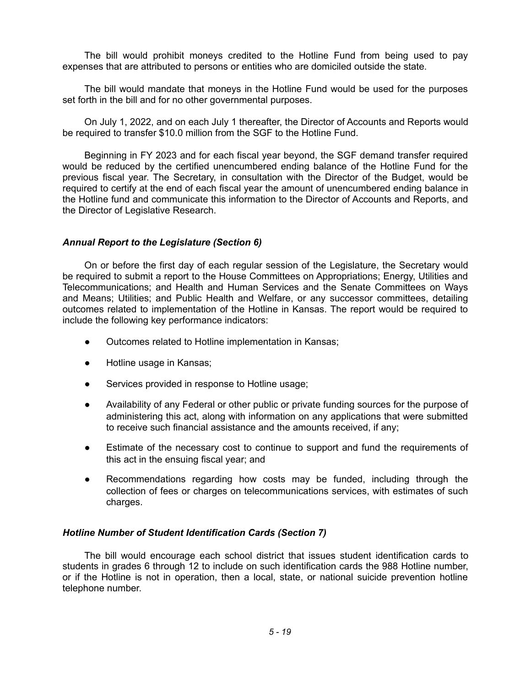The bill would prohibit moneys credited to the Hotline Fund from being used to pay expenses that are attributed to persons or entities who are domiciled outside the state.

The bill would mandate that moneys in the Hotline Fund would be used for the purposes set forth in the bill and for no other governmental purposes.

On July 1, 2022, and on each July 1 thereafter, the Director of Accounts and Reports would be required to transfer \$10.0 million from the SGF to the Hotline Fund.

Beginning in FY 2023 and for each fiscal year beyond, the SGF demand transfer required would be reduced by the certified unencumbered ending balance of the Hotline Fund for the previous fiscal year. The Secretary, in consultation with the Director of the Budget, would be required to certify at the end of each fiscal year the amount of unencumbered ending balance in the Hotline fund and communicate this information to the Director of Accounts and Reports, and the Director of Legislative Research.

### *Annual Report to the Legislature (Section 6)*

On or before the first day of each regular session of the Legislature, the Secretary would be required to submit a report to the House Committees on Appropriations; Energy, Utilities and Telecommunications; and Health and Human Services and the Senate Committees on Ways and Means; Utilities; and Public Health and Welfare, or any successor committees, detailing outcomes related to implementation of the Hotline in Kansas. The report would be required to include the following key performance indicators:

- Outcomes related to Hotline implementation in Kansas;
- Hotline usage in Kansas;
- Services provided in response to Hotline usage;
- Availability of any Federal or other public or private funding sources for the purpose of administering this act, along with information on any applications that were submitted to receive such financial assistance and the amounts received, if any;
- Estimate of the necessary cost to continue to support and fund the requirements of this act in the ensuing fiscal year; and
- Recommendations regarding how costs may be funded, including through the collection of fees or charges on telecommunications services, with estimates of such charges.

#### *Hotline Number of Student Identification Cards (Section 7)*

The bill would encourage each school district that issues student identification cards to students in grades 6 through 12 to include on such identification cards the 988 Hotline number, or if the Hotline is not in operation, then a local, state, or national suicide prevention hotline telephone number.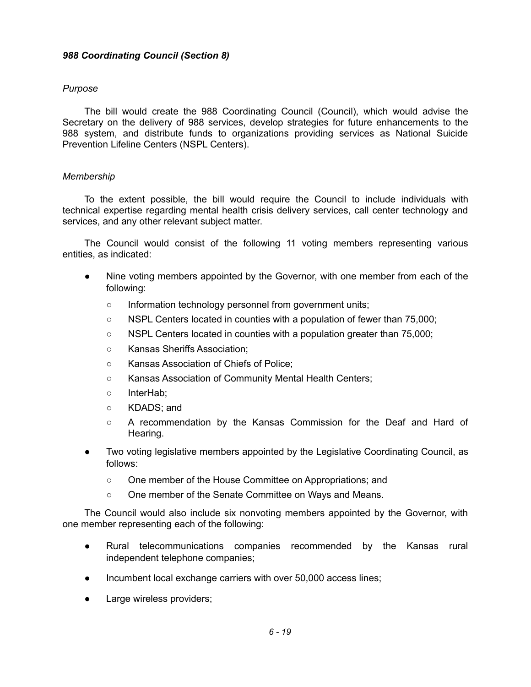## *988 Coordinating Council (Section 8)*

### *Purpose*

The bill would create the 988 Coordinating Council (Council), which would advise the Secretary on the delivery of 988 services, develop strategies for future enhancements to the 988 system, and distribute funds to organizations providing services as National Suicide Prevention Lifeline Centers (NSPL Centers).

#### *Membership*

To the extent possible, the bill would require the Council to include individuals with technical expertise regarding mental health crisis delivery services, call center technology and services, and any other relevant subject matter.

The Council would consist of the following 11 voting members representing various entities, as indicated:

- Nine voting members appointed by the Governor, with one member from each of the following:
	- Information technology personnel from government units;
	- NSPL Centers located in counties with a population of fewer than 75,000;
	- NSPL Centers located in counties with a population greater than 75,000;
	- Kansas Sheriffs Association;
	- Kansas Association of Chiefs of Police;
	- Kansas Association of Community Mental Health Centers;
	- InterHab;
	- KDADS: and
	- A recommendation by the Kansas Commission for the Deaf and Hard of Hearing.
- Two voting legislative members appointed by the Legislative Coordinating Council, as follows:
	- One member of the House Committee on Appropriations; and
	- One member of the Senate Committee on Ways and Means.

The Council would also include six nonvoting members appointed by the Governor, with one member representing each of the following:

- Rural telecommunications companies recommended by the Kansas rural independent telephone companies;
- Incumbent local exchange carriers with over 50,000 access lines;
- Large wireless providers;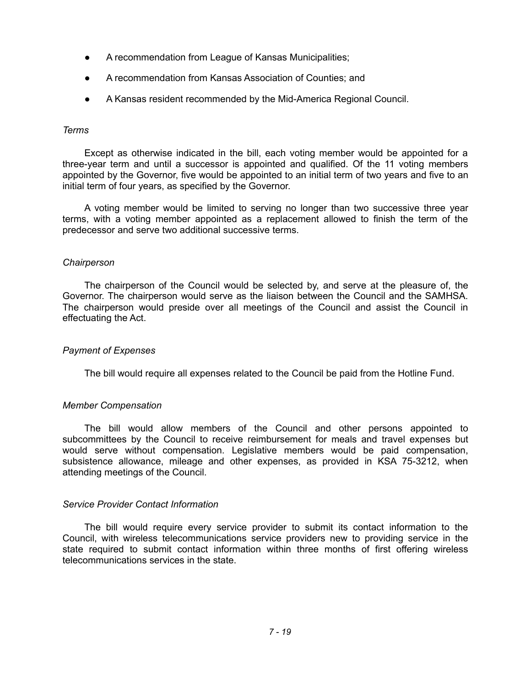- A recommendation from League of Kansas Municipalities;
- A recommendation from Kansas Association of Counties; and
- A Kansas resident recommended by the Mid-America Regional Council.

#### *Terms*

Except as otherwise indicated in the bill, each voting member would be appointed for a three-year term and until a successor is appointed and qualified. Of the 11 voting members appointed by the Governor, five would be appointed to an initial term of two years and five to an initial term of four years, as specified by the Governor.

A voting member would be limited to serving no longer than two successive three year terms, with a voting member appointed as a replacement allowed to finish the term of the predecessor and serve two additional successive terms.

#### *Chairperson*

The chairperson of the Council would be selected by, and serve at the pleasure of, the Governor. The chairperson would serve as the liaison between the Council and the SAMHSA. The chairperson would preside over all meetings of the Council and assist the Council in effectuating the Act.

#### *Payment of Expenses*

The bill would require all expenses related to the Council be paid from the Hotline Fund.

#### *Member Compensation*

The bill would allow members of the Council and other persons appointed to subcommittees by the Council to receive reimbursement for meals and travel expenses but would serve without compensation. Legislative members would be paid compensation, subsistence allowance, mileage and other expenses, as provided in KSA 75-3212, when attending meetings of the Council.

#### *Service Provider Contact Information*

The bill would require every service provider to submit its contact information to the Council, with wireless telecommunications service providers new to providing service in the state required to submit contact information within three months of first offering wireless telecommunications services in the state.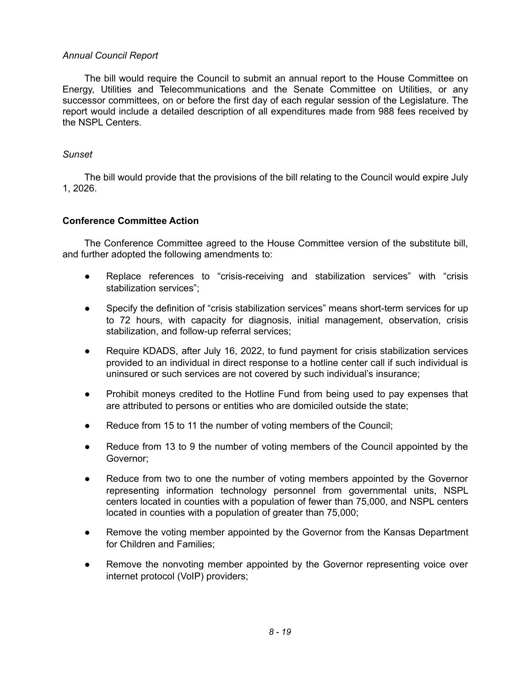## *Annual Council Report*

The bill would require the Council to submit an annual report to the House Committee on Energy, Utilities and Telecommunications and the Senate Committee on Utilities, or any successor committees, on or before the first day of each regular session of the Legislature. The report would include a detailed description of all expenditures made from 988 fees received by the NSPL Centers.

## *Sunset*

The bill would provide that the provisions of the bill relating to the Council would expire July 1, 2026.

# **Conference Committee Action**

The Conference Committee agreed to the House Committee version of the substitute bill, and further adopted the following amendments to:

- Replace references to "crisis-receiving and stabilization services" with "crisis stabilization services";
- Specify the definition of "crisis stabilization services" means short-term services for up to 72 hours, with capacity for diagnosis, initial management, observation, crisis stabilization, and follow-up referral services;
- Require KDADS, after July 16, 2022, to fund payment for crisis stabilization services provided to an individual in direct response to a hotline center call if such individual is uninsured or such services are not covered by such individual's insurance;
- Prohibit moneys credited to the Hotline Fund from being used to pay expenses that are attributed to persons or entities who are domiciled outside the state;
- Reduce from 15 to 11 the number of voting members of the Council;
- Reduce from 13 to 9 the number of voting members of the Council appointed by the Governor;
- Reduce from two to one the number of voting members appointed by the Governor representing information technology personnel from governmental units, NSPL centers located in counties with a population of fewer than 75,000, and NSPL centers located in counties with a population of greater than 75,000;
- Remove the voting member appointed by the Governor from the Kansas Department for Children and Families;
- Remove the nonvoting member appointed by the Governor representing voice over internet protocol (VoIP) providers;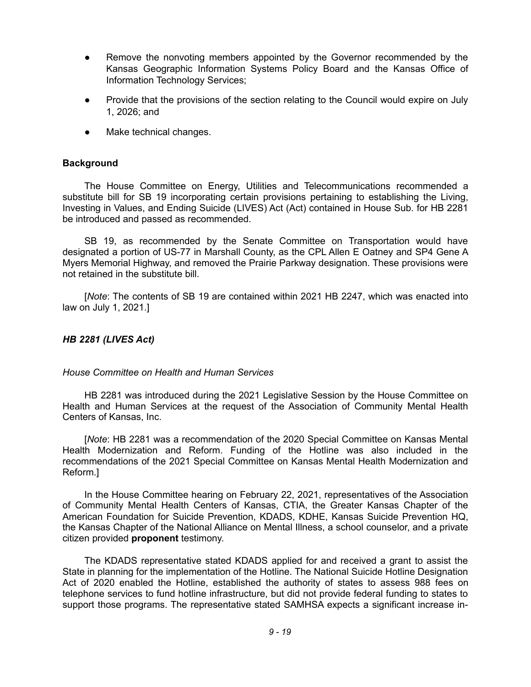- Remove the nonvoting members appointed by the Governor recommended by the Kansas Geographic Information Systems Policy Board and the Kansas Office of Information Technology Services;
- Provide that the provisions of the section relating to the Council would expire on July 1, 2026; and
- Make technical changes.

#### **Background**

The House Committee on Energy, Utilities and Telecommunications recommended a substitute bill for SB 19 incorporating certain provisions pertaining to establishing the Living, Investing in Values, and Ending Suicide (LIVES) Act (Act) contained in House Sub. for HB 2281 be introduced and passed as recommended.

SB 19, as recommended by the Senate Committee on Transportation would have designated a portion of US-77 in Marshall County, as the CPL Allen E Oatney and SP4 Gene A Myers Memorial Highway, and removed the Prairie Parkway designation. These provisions were not retained in the substitute bill.

[*Note*: The contents of SB 19 are contained within 2021 HB 2247, which was enacted into law on July 1, 2021.]

#### *HB 2281 (LIVES Act)*

#### *House Committee on Health and Human Services*

HB 2281 was introduced during the 2021 Legislative Session by the House Committee on Health and Human Services at the request of the Association of Community Mental Health Centers of Kansas, Inc.

[*Note*: HB 2281 was a recommendation of the 2020 Special Committee on Kansas Mental Health Modernization and Reform. Funding of the Hotline was also included in the recommendations of the 2021 Special Committee on Kansas Mental Health Modernization and Reform.]

In the House Committee hearing on February 22, 2021, representatives of the Association of Community Mental Health Centers of Kansas, CTIA, the Greater Kansas Chapter of the American Foundation for Suicide Prevention, KDADS, KDHE, Kansas Suicide Prevention HQ, the Kansas Chapter of the National Alliance on Mental Illness, a school counselor, and a private citizen provided **proponent** testimony.

The KDADS representative stated KDADS applied for and received a grant to assist the State in planning for the implementation of the Hotline. The National Suicide Hotline Designation Act of 2020 enabled the Hotline, established the authority of states to assess 988 fees on telephone services to fund hotline infrastructure, but did not provide federal funding to states to support those programs. The representative stated SAMHSA expects a significant increase in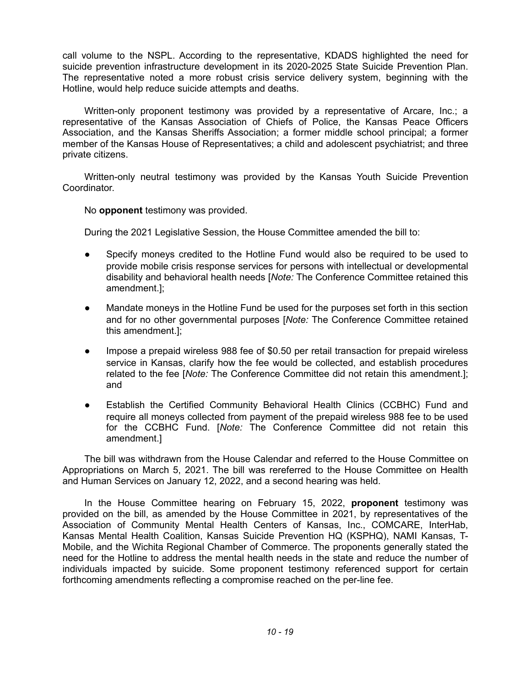call volume to the NSPL. According to the representative, KDADS highlighted the need for suicide prevention infrastructure development in its 2020-2025 State Suicide Prevention Plan. The representative noted a more robust crisis service delivery system, beginning with the Hotline, would help reduce suicide attempts and deaths.

Written-only proponent testimony was provided by a representative of Arcare, Inc.; a representative of the Kansas Association of Chiefs of Police, the Kansas Peace Officers Association, and the Kansas Sheriffs Association; a former middle school principal; a former member of the Kansas House of Representatives; a child and adolescent psychiatrist; and three private citizens.

Written-only neutral testimony was provided by the Kansas Youth Suicide Prevention Coordinator.

No **opponent** testimony was provided.

During the 2021 Legislative Session, the House Committee amended the bill to:

- Specify moneys credited to the Hotline Fund would also be required to be used to provide mobile crisis response services for persons with intellectual or developmental disability and behavioral health needs [*Note:* The Conference Committee retained this amendment.];
- Mandate moneys in the Hotline Fund be used for the purposes set forth in this section and for no other governmental purposes [*Note:* The Conference Committee retained this amendment.];
- Impose a prepaid wireless 988 fee of \$0.50 per retail transaction for prepaid wireless service in Kansas, clarify how the fee would be collected, and establish procedures related to the fee [*Note:* The Conference Committee did not retain this amendment.]; and
- Establish the Certified Community Behavioral Health Clinics (CCBHC) Fund and require all moneys collected from payment of the prepaid wireless 988 fee to be used for the CCBHC Fund. [*Note:* The Conference Committee did not retain this amendment.]

The bill was withdrawn from the House Calendar and referred to the House Committee on Appropriations on March 5, 2021. The bill was rereferred to the House Committee on Health and Human Services on January 12, 2022, and a second hearing was held.

In the House Committee hearing on February 15, 2022, **proponent** testimony was provided on the bill, as amended by the House Committee in 2021, by representatives of the Association of Community Mental Health Centers of Kansas, Inc., COMCARE, InterHab, Kansas Mental Health Coalition, Kansas Suicide Prevention HQ (KSPHQ), NAMI Kansas, T-Mobile, and the Wichita Regional Chamber of Commerce. The proponents generally stated the need for the Hotline to address the mental health needs in the state and reduce the number of individuals impacted by suicide. Some proponent testimony referenced support for certain forthcoming amendments reflecting a compromise reached on the per-line fee.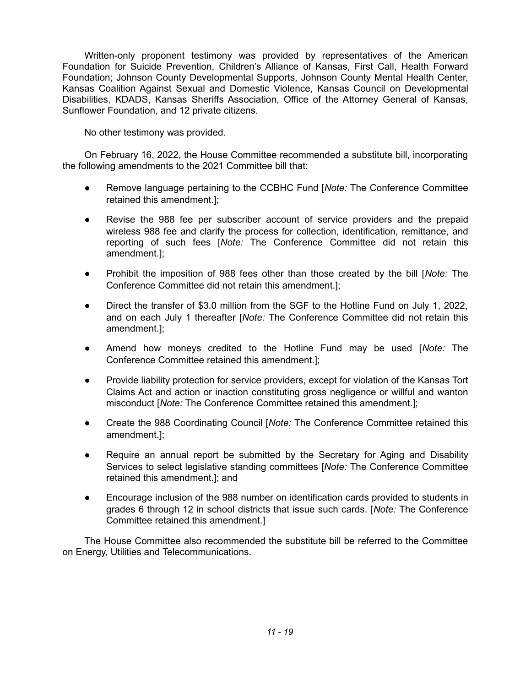Written-only proponent testimony was provided by representatives of the American Foundation for Suicide Prevention, Children's Alliance of Kansas, First Call, Health Forward Foundation; Johnson County Developmental Supports, Johnson County Mental Health Center, Kansas Coalition Against Sexual and Domestic Violence, Kansas Council on Developmental Disabilities, KDADS, Kansas Sheriffs Association, Office of the Attorney General of Kansas, Sunflower Foundation, and 12 private citizens.

No other testimony was provided.

On February 16, 2022, the House Committee recommended a substitute bill, incorporating the following amendments to the 2021 Committee bill that:

- Remove language pertaining to the CCBHC Fund [*Note:* The Conference Committee retained this amendment.];
- Revise the 988 fee per subscriber account of service providers and the prepaid wireless 988 fee and clarify the process for collection, identification, remittance, and reporting of such fees [*Note:* The Conference Committee did not retain this amendment.];
- Prohibit the imposition of 988 fees other than those created by the bill [*Note:* The Conference Committee did not retain this amendment.];
- Direct the transfer of \$3.0 million from the SGF to the Hotline Fund on July 1, 2022, and on each July 1 thereafter [*Note:* The Conference Committee did not retain this amendment.];
- Amend how moneys credited to the Hotline Fund may be used [*Note:* The Conference Committee retained this amendment.];
- Provide liability protection for service providers, except for violation of the Kansas Tort Claims Act and action or inaction constituting gross negligence or willful and wanton misconduct [*Note:* The Conference Committee retained this amendment.];
- Create the 988 Coordinating Council [*Note:* The Conference Committee retained this amendment.];
- Require an annual report be submitted by the Secretary for Aging and Disability Services to select legislative standing committees [*Note:* The Conference Committee retained this amendment.]; and
- Encourage inclusion of the 988 number on identification cards provided to students in grades 6 through 12 in school districts that issue such cards. [*Note:* The Conference Committee retained this amendment.]

The House Committee also recommended the substitute bill be referred to the Committee on Energy, Utilities and Telecommunications.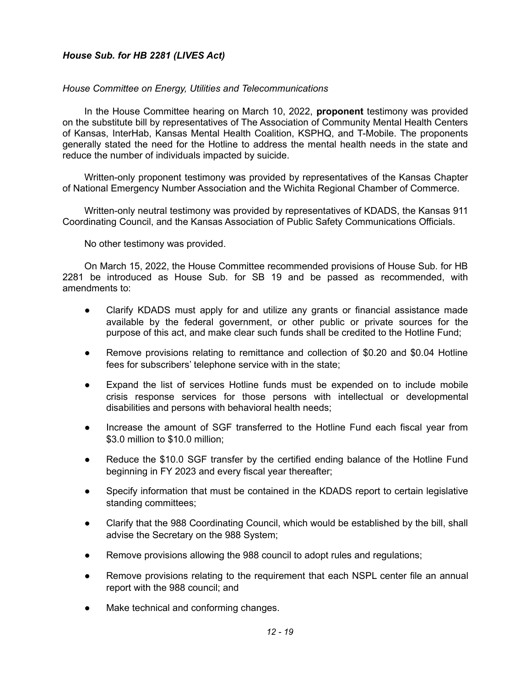# *House Sub. for HB 2281 (LIVES Act)*

# *House Committee on Energy, Utilities and Telecommunications*

In the House Committee hearing on March 10, 2022, **proponent** testimony was provided on the substitute bill by representatives of The Association of Community Mental Health Centers of Kansas, InterHab, Kansas Mental Health Coalition, KSPHQ, and T-Mobile. The proponents generally stated the need for the Hotline to address the mental health needs in the state and reduce the number of individuals impacted by suicide.

Written-only proponent testimony was provided by representatives of the Kansas Chapter of National Emergency Number Association and the Wichita Regional Chamber of Commerce.

Written-only neutral testimony was provided by representatives of KDADS, the Kansas 911 Coordinating Council, and the Kansas Association of Public Safety Communications Officials.

No other testimony was provided.

On March 15, 2022, the House Committee recommended provisions of House Sub. for HB 2281 be introduced as House Sub. for SB 19 and be passed as recommended, with amendments to:

- Clarify KDADS must apply for and utilize any grants or financial assistance made available by the federal government, or other public or private sources for the purpose of this act, and make clear such funds shall be credited to the Hotline Fund;
- Remove provisions relating to remittance and collection of \$0.20 and \$0.04 Hotline fees for subscribers' telephone service with in the state;
- Expand the list of services Hotline funds must be expended on to include mobile crisis response services for those persons with intellectual or developmental disabilities and persons with behavioral health needs;
- Increase the amount of SGF transferred to the Hotline Fund each fiscal year from \$3.0 million to \$10.0 million;
- Reduce the \$10.0 SGF transfer by the certified ending balance of the Hotline Fund beginning in FY 2023 and every fiscal year thereafter;
- Specify information that must be contained in the KDADS report to certain legislative standing committees;
- Clarify that the 988 Coordinating Council, which would be established by the bill, shall advise the Secretary on the 988 System;
- Remove provisions allowing the 988 council to adopt rules and regulations;
- Remove provisions relating to the requirement that each NSPL center file an annual report with the 988 council; and
- Make technical and conforming changes.